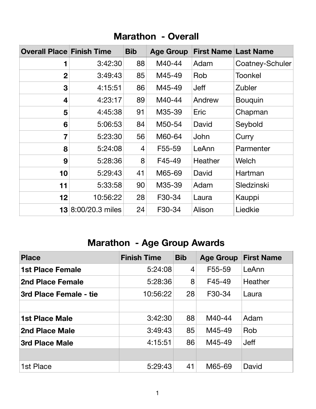| <b>Overall Place Finish Time</b> |                           | <b>Bib</b>     | <b>Age Group</b> |             | <b>First Name Last Name</b> |
|----------------------------------|---------------------------|----------------|------------------|-------------|-----------------------------|
| 1                                | 3:42:30                   | 88             | M40-44           | Adam        | <b>Coatney-Schuler</b>      |
| $\boldsymbol{2}$                 | 3:49:43                   | 85             | M45-49           | Rob         | <b>Toonkel</b>              |
| 3                                | 4:15:51                   | 86             | M45-49           | <b>Jeff</b> | <b>Zubler</b>               |
| 4                                | 4:23:17                   | 89             | M40-44           | Andrew      | <b>Bouquin</b>              |
| 5                                | 4:45:38                   | 91             | M35-39           | <b>Eric</b> | Chapman                     |
| 6                                | 5:06:53                   | 84             | M50-54           | David       | Seybold                     |
| $\overline{7}$                   | 5:23:30                   | 56             | M60-64           | John        | Curry                       |
| 8                                | 5:24:08                   | $\overline{4}$ | F55-59           | LeAnn       | Parmenter                   |
| 9                                | 5:28:36                   | 8              | F45-49           | Heather     | Welch                       |
| 10                               | 5:29:43                   | 41             | M65-69           | David       | Hartman                     |
| 11                               | 5:33:58                   | 90             | M35-39           | Adam        | Sledzinski                  |
| 12                               | 10:56:22                  | 28             | F30-34           | Laura       | Kauppi                      |
|                                  | <b>13</b> 8:00/20.3 miles | 24             | F30-34           | Alison      | Liedkie                     |

## **Marathon - Overall**

## **Marathon - Age Group Awards**

| <b>Place</b>            | <b>Finish Time</b> | <b>Bib</b>     | <b>Age Group</b> | <b>First Name</b> |
|-------------------------|--------------------|----------------|------------------|-------------------|
| <b>1st Place Female</b> | 5:24:08            | $\overline{4}$ | F55-59           | LeAnn             |
| <b>2nd Place Female</b> | 5:28:36            | 8              | F45-49           | Heather           |
| 3rd Place Female - tie  | 10:56:22           | 28             | F30-34           | Laura             |
|                         |                    |                |                  |                   |
| <b>1st Place Male</b>   | 3:42:30            | 88             | M40-44           | Adam              |
| 2nd Place Male          | 3:49:43            | 85             | M45-49           | Rob               |
| <b>3rd Place Male</b>   | 4:15:51            | 86             | M45-49           | <b>Jeff</b>       |
|                         |                    |                |                  |                   |
| 1st Place               | 5:29:43            | 41             | M65-69           | David             |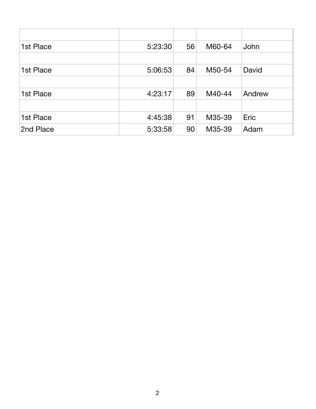| 1st Place | 5:23:30 | 56 | M60-64 | John        |
|-----------|---------|----|--------|-------------|
|           |         |    |        |             |
| 1st Place | 5:06:53 | 84 | M50-54 | David       |
|           |         |    |        |             |
| 1st Place | 4:23:17 | 89 | M40-44 | Andrew      |
|           |         |    |        |             |
| 1st Place | 4:45:38 | 91 | M35-39 | <b>Eric</b> |
| 2nd Place | 5:33:58 | 90 | M35-39 | Adam        |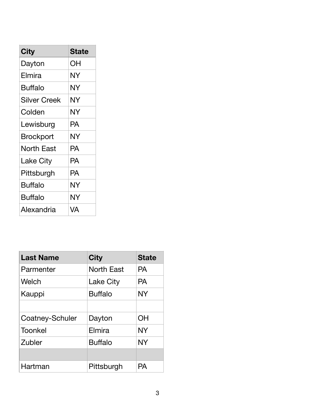| <b>City</b>         | <b>State</b> |
|---------------------|--------------|
| Dayton              | ΟH           |
| Elmira              | NΥ           |
| Buffalo             | NΥ           |
| <b>Silver Creek</b> | NΥ           |
| Colden              | NΥ           |
| Lewisburg           | PA           |
| Brockport           | NΥ           |
| North East          | PA           |
| Lake City           | PA           |
| Pittsburgh          | PА           |
| Buffalo             | NY           |
| Buffalo             | NΥ           |
| Alexandria          | VА           |

| <b>Last Name</b>       | <b>City</b>       | <b>State</b> |
|------------------------|-------------------|--------------|
| Parmenter              | <b>North East</b> | <b>PA</b>    |
| Welch                  | <b>Lake City</b>  | <b>PA</b>    |
| Kauppi                 | <b>Buffalo</b>    | <b>NY</b>    |
|                        |                   |              |
| <b>Coatney-Schuler</b> | Dayton            | ΟH           |
| <b>Toonkel</b>         | Elmira            | <b>NY</b>    |
| Zubler                 | <b>Buffalo</b>    | <b>NY</b>    |
|                        |                   |              |
| Hartman                | Pittsburgh        | PА           |